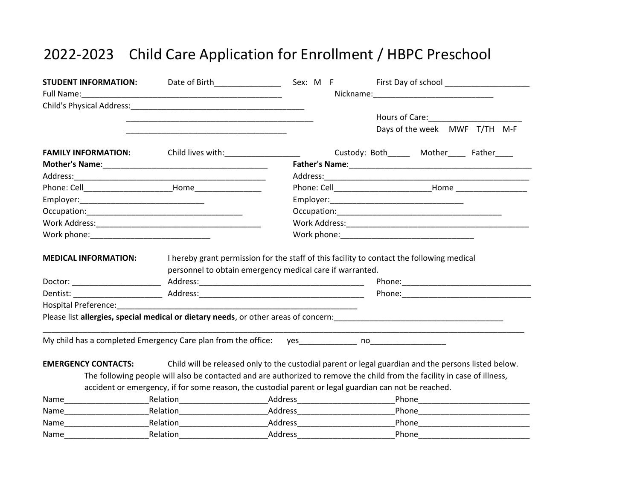## 2022-2023 Child Care Application for Enrollment / HBPC Preschool

| <b>STUDENT INFORMATION:</b>                                                                                    |                                     |                                                                                                       |                                                                                                                          |
|----------------------------------------------------------------------------------------------------------------|-------------------------------------|-------------------------------------------------------------------------------------------------------|--------------------------------------------------------------------------------------------------------------------------|
| Full Name: Name and South Assembly Contact the Contract of the Contract of the Contract of the Contract of the |                                     |                                                                                                       |                                                                                                                          |
| Child's Physical Address: Child's Physical Address:                                                            |                                     |                                                                                                       |                                                                                                                          |
|                                                                                                                |                                     |                                                                                                       | Hours of Care: 1988                                                                                                      |
|                                                                                                                |                                     |                                                                                                       | Days of the week MWF T/TH M-F                                                                                            |
| <b>FAMILY INFORMATION:</b>                                                                                     | Child lives with: Child lives with: |                                                                                                       | Custody: Both Mother Father                                                                                              |
|                                                                                                                |                                     |                                                                                                       |                                                                                                                          |
|                                                                                                                |                                     |                                                                                                       |                                                                                                                          |
|                                                                                                                |                                     |                                                                                                       |                                                                                                                          |
|                                                                                                                |                                     |                                                                                                       |                                                                                                                          |
|                                                                                                                |                                     |                                                                                                       |                                                                                                                          |
|                                                                                                                |                                     |                                                                                                       |                                                                                                                          |
|                                                                                                                |                                     |                                                                                                       |                                                                                                                          |
|                                                                                                                |                                     | personnel to obtain emergency medical care if warranted.                                              |                                                                                                                          |
|                                                                                                                |                                     |                                                                                                       |                                                                                                                          |
| Hospital Preference: National Preference:                                                                      |                                     |                                                                                                       |                                                                                                                          |
|                                                                                                                |                                     |                                                                                                       |                                                                                                                          |
| My child has a completed Emergency Care plan from the office: yes____________ no___________________            |                                     |                                                                                                       |                                                                                                                          |
| <b>EMERGENCY CONTACTS:</b>                                                                                     |                                     |                                                                                                       | Child will be released only to the custodial parent or legal guardian and the persons listed below.                      |
|                                                                                                                |                                     |                                                                                                       | The following people will also be contacted and are authorized to remove the child from the facility in case of illness, |
|                                                                                                                |                                     | accident or emergency, if for some reason, the custodial parent or legal guardian can not be reached. |                                                                                                                          |
| Name                                                                                                           |                                     | _Relation_________________________________Address_______________________________                      |                                                                                                                          |
|                                                                                                                |                                     |                                                                                                       |                                                                                                                          |
| Name                                                                                                           |                                     | Relation Address Address                                                                              |                                                                                                                          |
| Name                                                                                                           | Relation____________                | Address___________                                                                                    | Phone                                                                                                                    |